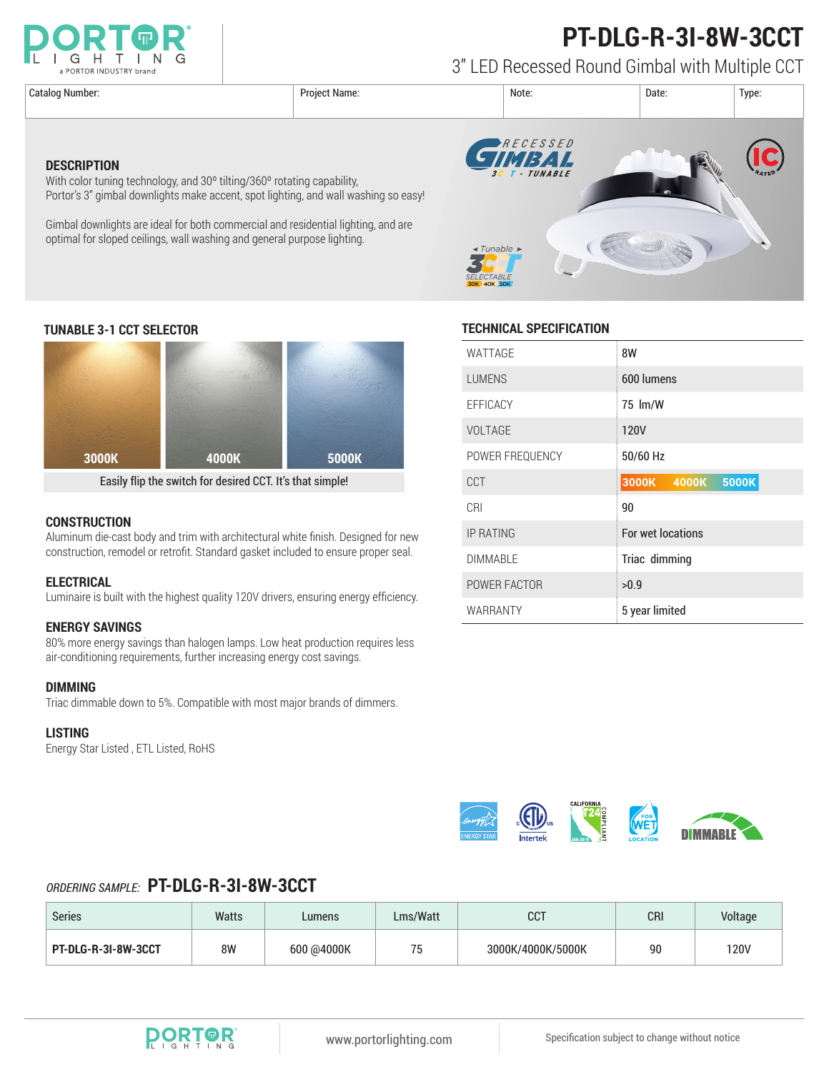

# **PT-DLG-R-3I-8W-3CCT**

3" LED Recessed Round Gimbal with Multiple CCT

**DESCRIPTION**



### **TUNABLE 3-1 CCT SELECTOR TECHNICAL SPECIFICATION**



With color tuning technology, and 30<sup>°</sup> tilting/360<sup>°</sup> rotating capability,

optimal for sloped ceilings, wall washing and general purpose lighting.

Portor's 3" gimbal downlights make accent, spot lighting, and wall washing so easy!

Gimbal downlights are ideal for both commercial and residential lighting, and are

Easily flip the switch for desired CCT. It's that simple!

#### **CONSTRUCTION**

Aluminum die-cast body and trim with architectural white finish. Designed for new construction, remodel or retrofit. Standard gasket included to ensure proper seal.

#### **ELECTRICAL**

Luminaire is built with the highest quality 120V drivers, ensuring energy efficiency.

#### **ENERGY SAVINGS**

80% more energy savings than halogen lamps. Low heat production requires less air-conditioning requirements, further increasing energy cost savings.

#### **DIMMING**

Triac dimmable down to 5%. Compatible with most major brands of dimmers.

#### **LISTING**

Energy Star Listed , ETL Listed, RoHS

| WATTAGE          | 8W                      |  |  |  |
|------------------|-------------------------|--|--|--|
| <b>LUMENS</b>    | 600 lumens              |  |  |  |
| <b>EFFICACY</b>  | 75 lm/W                 |  |  |  |
| <b>VOLTAGE</b>   | <b>120V</b>             |  |  |  |
| POWER FREQUENCY  | 50/60 Hz                |  |  |  |
| CCT              | 3000K<br>5000K<br>4000K |  |  |  |
| CRI              | 90                      |  |  |  |
| <b>IP RATING</b> | For wet locations       |  |  |  |
| <b>DIMMABLE</b>  | Triac dimming           |  |  |  |
| POWER FACTOR     | >0.9                    |  |  |  |
| WARRANTY         | 5 year limited          |  |  |  |



### *ORDERING SAMPLE:* **PT-DLG-R-3I-8W-3CCT**

| <b>Series</b>       | Watts | Lumens     | Lms/Watt | דחח<br>ບບ⊺        | CRI | Voltage |
|---------------------|-------|------------|----------|-------------------|-----|---------|
| PT-DLG-R-3I-8W-3CCT | 8W    | 600 @4000K | 75       | 3000K/4000K/5000K | 90  | 120V    |